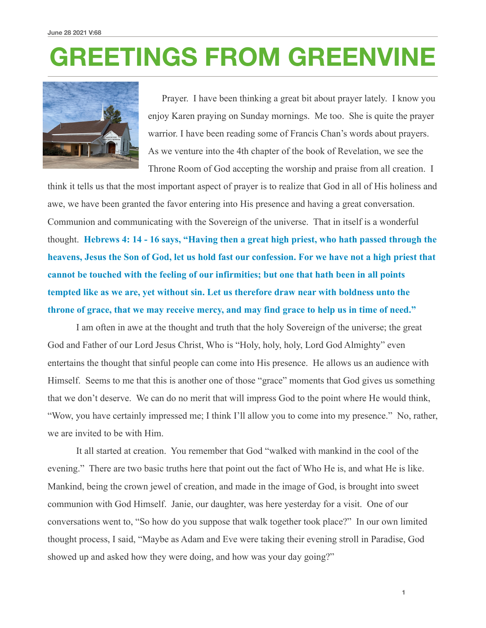## **GREETINGS FROM GREENVINE**



 Prayer. I have been thinking a great bit about prayer lately. I know you enjoy Karen praying on Sunday mornings. Me too. She is quite the prayer warrior. I have been reading some of Francis Chan's words about prayers. As we venture into the 4th chapter of the book of Revelation, we see the Throne Room of God accepting the worship and praise from all creation. I

think it tells us that the most important aspect of prayer is to realize that God in all of His holiness and awe, we have been granted the favor entering into His presence and having a great conversation. Communion and communicating with the Sovereign of the universe. That in itself is a wonderful thought. **Hebrews 4: 14 - 16 says, "Having then a great high priest, who hath passed through the heavens, Jesus the Son of God, let us hold fast our confession. For we have not a high priest that cannot be touched with the feeling of our infirmities; but one that hath been in all points tempted like as we are, yet without sin. Let us therefore draw near with boldness unto the throne of grace, that we may receive mercy, and may find grace to help us in time of need."**

 I am often in awe at the thought and truth that the holy Sovereign of the universe; the great God and Father of our Lord Jesus Christ, Who is "Holy, holy, holy, Lord God Almighty" even entertains the thought that sinful people can come into His presence. He allows us an audience with Himself. Seems to me that this is another one of those "grace" moments that God gives us something that we don't deserve. We can do no merit that will impress God to the point where He would think, "Wow, you have certainly impressed me; I think I'll allow you to come into my presence." No, rather, we are invited to be with Him.

 It all started at creation. You remember that God "walked with mankind in the cool of the evening." There are two basic truths here that point out the fact of Who He is, and what He is like. Mankind, being the crown jewel of creation, and made in the image of God, is brought into sweet communion with God Himself. Janie, our daughter, was here yesterday for a visit. One of our conversations went to, "So how do you suppose that walk together took place?" In our own limited thought process, I said, "Maybe as Adam and Eve were taking their evening stroll in Paradise, God showed up and asked how they were doing, and how was your day going?"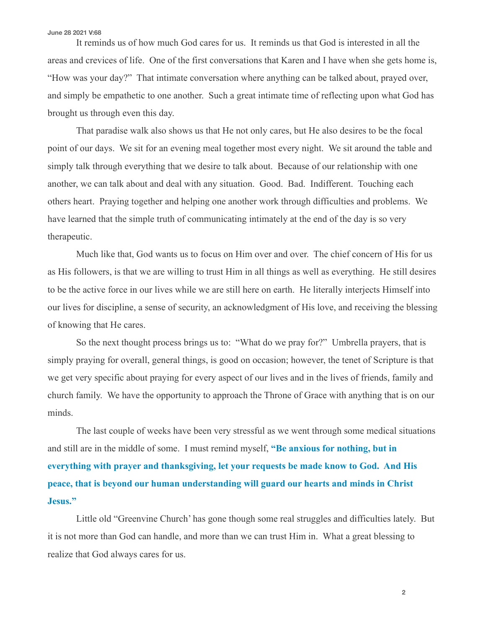It reminds us of how much God cares for us. It reminds us that God is interested in all the areas and crevices of life. One of the first conversations that Karen and I have when she gets home is, "How was your day?" That intimate conversation where anything can be talked about, prayed over, and simply be empathetic to one another. Such a great intimate time of reflecting upon what God has brought us through even this day.

 That paradise walk also shows us that He not only cares, but He also desires to be the focal point of our days. We sit for an evening meal together most every night. We sit around the table and simply talk through everything that we desire to talk about. Because of our relationship with one another, we can talk about and deal with any situation. Good. Bad. Indifferent. Touching each others heart. Praying together and helping one another work through difficulties and problems. We have learned that the simple truth of communicating intimately at the end of the day is so very therapeutic.

 Much like that, God wants us to focus on Him over and over. The chief concern of His for us as His followers, is that we are willing to trust Him in all things as well as everything. He still desires to be the active force in our lives while we are still here on earth. He literally interjects Himself into our lives for discipline, a sense of security, an acknowledgment of His love, and receiving the blessing of knowing that He cares.

 So the next thought process brings us to: "What do we pray for?" Umbrella prayers, that is simply praying for overall, general things, is good on occasion; however, the tenet of Scripture is that we get very specific about praying for every aspect of our lives and in the lives of friends, family and church family. We have the opportunity to approach the Throne of Grace with anything that is on our minds.

 The last couple of weeks have been very stressful as we went through some medical situations and still are in the middle of some. I must remind myself, **"Be anxious for nothing, but in everything with prayer and thanksgiving, let your requests be made know to God. And His peace, that is beyond our human understanding will guard our hearts and minds in Christ Jesus."**

 Little old "Greenvine Church' has gone though some real struggles and difficulties lately. But it is not more than God can handle, and more than we can trust Him in. What a great blessing to realize that God always cares for us.

**2**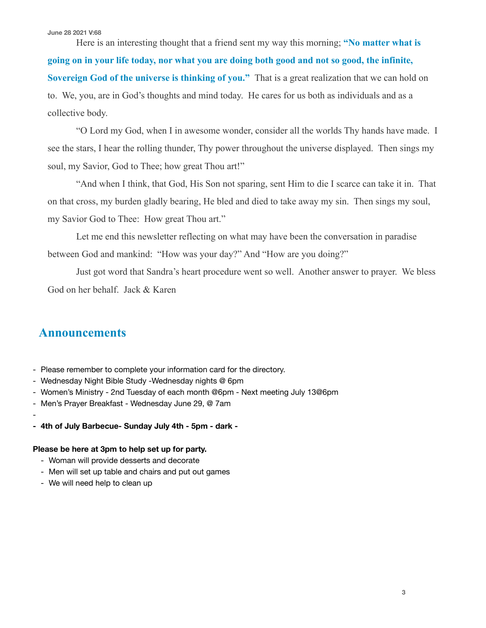**June 28 2021 V:68**

 Here is an interesting thought that a friend sent my way this morning; **"No matter what is going on in your life today, nor what you are doing both good and not so good, the infinite, Sovereign God of the universe is thinking of you."** That is a great realization that we can hold on to. We, you, are in God's thoughts and mind today. He cares for us both as individuals and as a collective body.

 "O Lord my God, when I in awesome wonder, consider all the worlds Thy hands have made. I see the stars, I hear the rolling thunder, Thy power throughout the universe displayed. Then sings my soul, my Savior, God to Thee; how great Thou art!"

 "And when I think, that God, His Son not sparing, sent Him to die I scarce can take it in. That on that cross, my burden gladly bearing, He bled and died to take away my sin. Then sings my soul, my Savior God to Thee: How great Thou art."

 Let me end this newsletter reflecting on what may have been the conversation in paradise between God and mankind: "How was your day?" And "How are you doing?"

 Just got word that Sandra's heart procedure went so well. Another answer to prayer. We bless God on her behalf. Jack & Karen

## **Announcements**

- Please remember to complete your information card for the directory.
- Wednesday Night Bible Study -Wednesday nights @ 6pm
- Women's Ministry 2nd Tuesday of each month @6pm Next meeting July 13@6pm
- Men's Prayer Breakfast Wednesday June 29, @ 7am
- -
- **- 4th of July Barbecue- Sunday July 4th 5pm dark**

## **Please be here at 3pm to help set up for party.**

- Woman will provide desserts and decorate
- Men will set up table and chairs and put out games
- We will need help to clean up